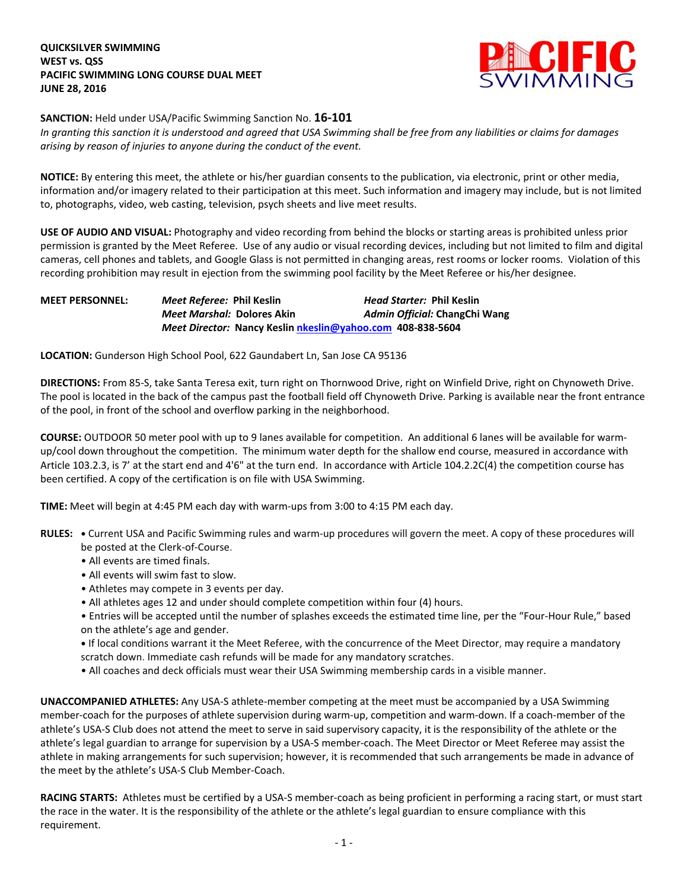

**SANCTION:** Held under USA/Pacific Swimming Sanction No. **16-101**

*In granting this sanction it is understood and agreed that USA Swimming shall be free from any liabilities or claims for damages arising by reason of injuries to anyone during the conduct of the event.*

**NOTICE:** By entering this meet, the athlete or his/her guardian consents to the publication, via electronic, print or other media, information and/or imagery related to their participation at this meet. Such information and imagery may include, but is not limited to, photographs, video, web casting, television, psych sheets and live meet results.

**USE OF AUDIO AND VISUAL:** Photography and video recording from behind the blocks or starting areas is prohibited unless prior permission is granted by the Meet Referee. Use of any audio or visual recording devices, including but not limited to film and digital cameras, cell phones and tablets, and Google Glass is not permitted in changing areas, rest rooms or locker rooms. Violation of this recording prohibition may result in ejection from the swimming pool facility by the Meet Referee or his/her designee.

## **MEET PERSONNEL:** *Meet Referee:* **Phil Keslin** *Head Starter:* **Phil Keslin** *Meet Marshal:* **Dolores Akin** *Admin Official:* **ChangChi Wang** *Meet Director:* **Nancy Kesli[n nkeslin@yahoo.com](mailto:nkeslin@yahoo.com) 408-838-5604**

**LOCATION:** Gunderson High School Pool, 622 Gaundabert Ln, San Jose CA 95136

**DIRECTIONS:** From 85-S, take Santa Teresa exit, turn right on Thornwood Drive, right on Winfield Drive, right on Chynoweth Drive. The pool is located in the back of the campus past the football field off Chynoweth Drive. Parking is available near the front entrance of the pool, in front of the school and overflow parking in the neighborhood.

**COURSE:** OUTDOOR 50 meter pool with up to 9 lanes available for competition. An additional 6 lanes will be available for warmup/cool down throughout the competition. The minimum water depth for the shallow end course, measured in accordance with Article 103.2.3, is 7' at the start end and 4'6" at the turn end. In accordance with Article 104.2.2C(4) the competition course has been certified. A copy of the certification is on file with USA Swimming.

**TIME:** Meet will begin at 4:45 PM each day with warm-ups from 3:00 to 4:15 PM each day.

- **RULES:** Current USA and Pacific Swimming rules and warm-up procedures will govern the meet. A copy of these procedures will be posted at the Clerk-of-Course.
	- All events are timed finals.
	- All events will swim fast to slow.
	- Athletes may compete in 3 events per day.
	- All athletes ages 12 and under should complete competition within four (4) hours.
	- Entries will be accepted until the number of splashes exceeds the estimated time line, per the "Four-Hour Rule," based on the athlete's age and gender.

**•** If local conditions warrant it the Meet Referee, with the concurrence of the Meet Director, may require a mandatory scratch down. Immediate cash refunds will be made for any mandatory scratches.

• All coaches and deck officials must wear their USA Swimming membership cards in a visible manner.

**UNACCOMPANIED ATHLETES:** Any USA-S athlete-member competing at the meet must be accompanied by a USA Swimming member-coach for the purposes of athlete supervision during warm-up, competition and warm-down. If a coach-member of the athlete's USA-S Club does not attend the meet to serve in said supervisory capacity, it is the responsibility of the athlete or the athlete's legal guardian to arrange for supervision by a USA-S member-coach. The Meet Director or Meet Referee may assist the athlete in making arrangements for such supervision; however, it is recommended that such arrangements be made in advance of the meet by the athlete's USA-S Club Member-Coach.

**RACING STARTS:** Athletes must be certified by a USA-S member-coach as being proficient in performing a racing start, or must start the race in the water. It is the responsibility of the athlete or the athlete's legal guardian to ensure compliance with this requirement.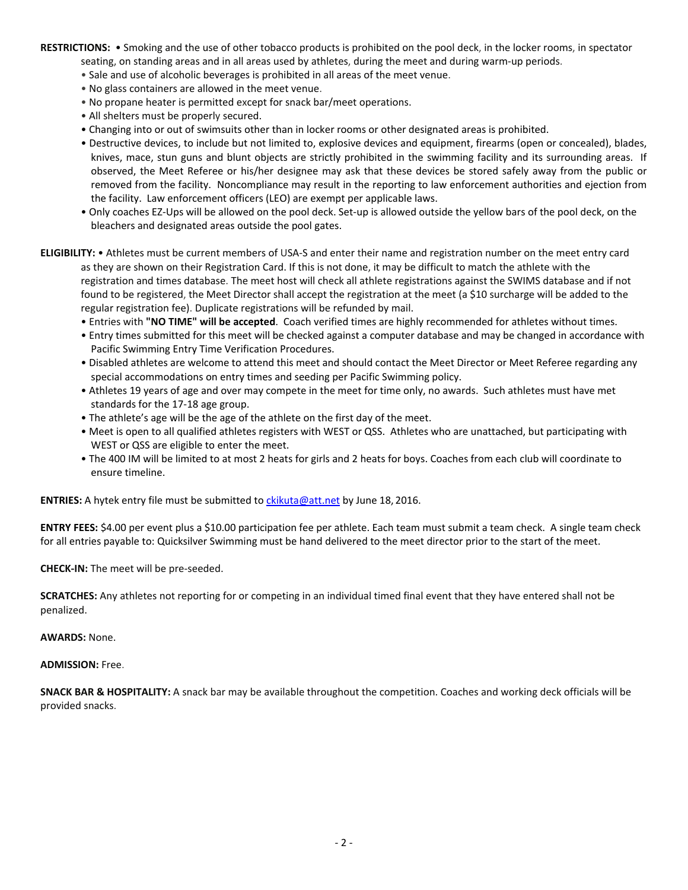**RESTRICTIONS:** • Smoking and the use of other tobacco products is prohibited on the pool deck, in the locker rooms, in spectator seating, on standing areas and in all areas used by athletes, during the meet and during warm-up periods.

- Sale and use of alcoholic beverages is prohibited in all areas of the meet venue.
- No glass containers are allowed in the meet venue.
- No propane heater is permitted except for snack bar/meet operations.
- All shelters must be properly secured.
- Changing into or out of swimsuits other than in locker rooms or other designated areas is prohibited.
- Destructive devices, to include but not limited to, explosive devices and equipment, firearms (open or concealed), blades, knives, mace, stun guns and blunt objects are strictly prohibited in the swimming facility and its surrounding areas. If observed, the Meet Referee or his/her designee may ask that these devices be stored safely away from the public or removed from the facility. Noncompliance may result in the reporting to law enforcement authorities and ejection from the facility. Law enforcement officers (LEO) are exempt per applicable laws.
- Only coaches EZ-Ups will be allowed on the pool deck. Set-up is allowed outside the yellow bars of the pool deck, on the bleachers and designated areas outside the pool gates.
- **ELIGIBILITY:** Athletes must be current members of USA-S and enter their name and registration number on the meet entry card as they are shown on their Registration Card. If this is not done, it may be difficult to match the athlete with the registration and times database. The meet host will check all athlete registrations against the SWIMS database and if not found to be registered, the Meet Director shall accept the registration at the meet (a \$10 surcharge will be added to the regular registration fee). Duplicate registrations will be refunded by mail.
	- Entries with **"NO TIME" will be accepted**. Coach verified times are highly recommended for athletes without times.
	- Entry times submitted for this meet will be checked against a computer database and may be changed in accordance with Pacific Swimming Entry Time Verification Procedures.
	- Disabled athletes are welcome to attend this meet and should contact the Meet Director or Meet Referee regarding any special accommodations on entry times and seeding per Pacific Swimming policy.
	- Athletes 19 years of age and over may compete in the meet for time only, no awards. Such athletes must have met standards for the 17-18 age group.
	- The athlete's age will be the age of the athlete on the first day of the meet.
	- Meet is open to all qualified athletes registers with WEST or QSS. Athletes who are unattached, but participating with WEST or QSS are eligible to enter the meet.
	- The 400 IM will be limited to at most 2 heats for girls and 2 heats for boys. Coaches from each club will coordinate to ensure timeline.

**ENTRIES:** A hytek entry file must be submitted to [ckikuta@att.net](mailto:ckikuta@att.net) by June 18, 2016.

**ENTRY FEES:** \$4.00 per event plus a \$10.00 participation fee per athlete. Each team must submit a team check. A single team check for all entries payable to: Quicksilver Swimming must be hand delivered to the meet director prior to the start of the meet.

**CHECK-IN:** The meet will be pre-seeded.

**SCRATCHES:** Any athletes not reporting for or competing in an individual timed final event that they have entered shall not be penalized.

## **AWARDS:** None.

## **ADMISSION:** Free.

**SNACK BAR & HOSPITALITY:** A snack bar may be available throughout the competition. Coaches and working deck officials will be provided snacks.